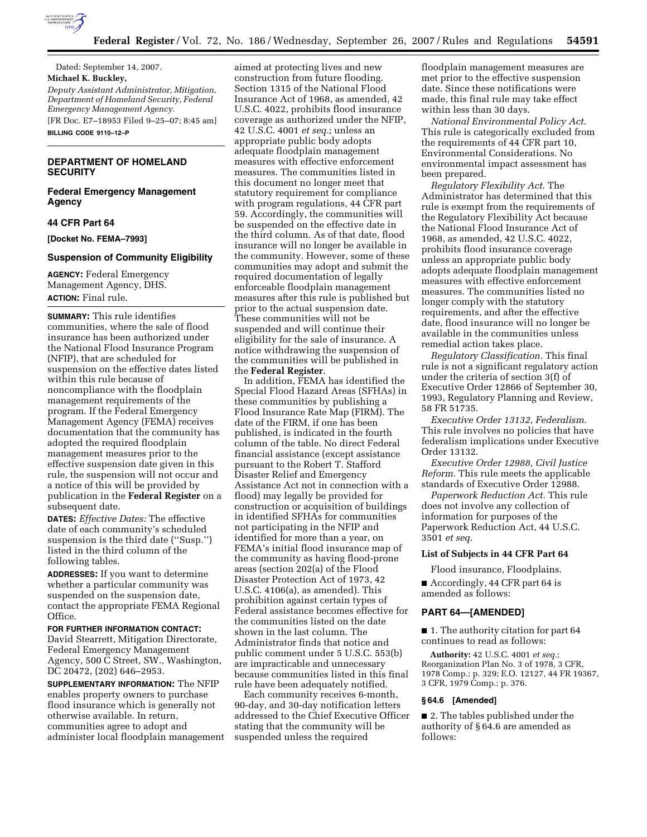

Dated: September 14, 2007. **Michael K. Buckley,**  *Deputy Assistant Administrator, Mitigation, Department of Homeland Security, Federal Emergency Management Agency.*  [FR Doc. E7–18953 Filed 9–25–07; 8:45 am] **BILLING CODE 9110–12–P** 

# **DEPARTMENT OF HOMELAND SECURITY**

**Federal Emergency Management Agency** 

# **44 CFR Part 64**

**[Docket No. FEMA–7993]** 

#### **Suspension of Community Eligibility**

**AGENCY:** Federal Emergency Management Agency, DHS. **ACTION:** Final rule.

**SUMMARY:** This rule identifies communities, where the sale of flood insurance has been authorized under the National Flood Insurance Program (NFIP), that are scheduled for suspension on the effective dates listed within this rule because of noncompliance with the floodplain management requirements of the program. If the Federal Emergency Management Agency (FEMA) receives documentation that the community has adopted the required floodplain management measures prior to the effective suspension date given in this rule, the suspension will not occur and a notice of this will be provided by publication in the **Federal Register** on a subsequent date.

**DATES:** *Effective Dates:* The effective date of each community's scheduled suspension is the third date (''Susp.'') listed in the third column of the following tables.

**ADDRESSES:** If you want to determine whether a particular community was suspended on the suspension date, contact the appropriate FEMA Regional Office.

**FOR FURTHER INFORMATION CONTACT:**  David Stearrett, Mitigation Directorate, Federal Emergency Management Agency, 500 C Street, SW., Washington, DC 20472, (202) 646–2953.

**SUPPLEMENTARY INFORMATION:** The NFIP enables property owners to purchase flood insurance which is generally not otherwise available. In return, communities agree to adopt and administer local floodplain management aimed at protecting lives and new construction from future flooding. Section 1315 of the National Flood Insurance Act of 1968, as amended, 42 U.S.C. 4022, prohibits flood insurance coverage as authorized under the NFIP, 42 U.S.C. 4001 *et seq.*; unless an appropriate public body adopts adequate floodplain management measures with effective enforcement measures. The communities listed in this document no longer meet that statutory requirement for compliance with program regulations, 44 CFR part 59. Accordingly, the communities will be suspended on the effective date in the third column. As of that date, flood insurance will no longer be available in the community. However, some of these communities may adopt and submit the required documentation of legally enforceable floodplain management measures after this rule is published but prior to the actual suspension date. These communities will not be suspended and will continue their eligibility for the sale of insurance. A notice withdrawing the suspension of the communities will be published in the **Federal Register**.

In addition, FEMA has identified the Special Flood Hazard Areas (SFHAs) in these communities by publishing a Flood Insurance Rate Map (FIRM). The date of the FIRM, if one has been published, is indicated in the fourth column of the table. No direct Federal financial assistance (except assistance pursuant to the Robert T. Stafford Disaster Relief and Emergency Assistance Act not in connection with a flood) may legally be provided for construction or acquisition of buildings in identified SFHAs for communities not participating in the NFIP and identified for more than a year, on FEMA's initial flood insurance map of the community as having flood-prone areas (section 202(a) of the Flood Disaster Protection Act of 1973, 42 U.S.C. 4106(a), as amended). This prohibition against certain types of Federal assistance becomes effective for the communities listed on the date shown in the last column. The Administrator finds that notice and public comment under 5 U.S.C. 553(b) are impracticable and unnecessary because communities listed in this final rule have been adequately notified.

Each community receives 6-month, 90-day, and 30-day notification letters addressed to the Chief Executive Officer stating that the community will be suspended unless the required

floodplain management measures are met prior to the effective suspension date. Since these notifications were made, this final rule may take effect within less than 30 days.

*National Environmental Policy Act.*  This rule is categorically excluded from the requirements of 44 CFR part 10, Environmental Considerations. No environmental impact assessment has been prepared.

*Regulatory Flexibility Act.* The Administrator has determined that this rule is exempt from the requirements of the Regulatory Flexibility Act because the National Flood Insurance Act of 1968, as amended, 42 U.S.C. 4022, prohibits flood insurance coverage unless an appropriate public body adopts adequate floodplain management measures with effective enforcement measures. The communities listed no longer comply with the statutory requirements, and after the effective date, flood insurance will no longer be available in the communities unless remedial action takes place.

*Regulatory Classification.* This final rule is not a significant regulatory action under the criteria of section 3(f) of Executive Order 12866 of September 30, 1993, Regulatory Planning and Review, 58 FR 51735.

*Executive Order 13132, Federalism.*  This rule involves no policies that have federalism implications under Executive Order 13132.

*Executive Order 12988, Civil Justice Reform.* This rule meets the applicable standards of Executive Order 12988.

*Paperwork Reduction Act.* This rule does not involve any collection of information for purposes of the Paperwork Reduction Act, 44 U.S.C. 3501 *et seq.* 

### **List of Subjects in 44 CFR Part 64**

Flood insurance, Floodplains.

■ Accordingly, 44 CFR part 64 is amended as follows:

# **PART 64—[AMENDED]**

■ 1. The authority citation for part 64 continues to read as follows:

**Authority:** 42 U.S.C. 4001 *et seq.*; Reorganization Plan No. 3 of 1978, 3 CFR, 1978 Comp.; p. 329; E.O. 12127, 44 FR 19367, 3 CFR, 1979 Comp.; p. 376.

### **§ 64.6 [Amended]**

■ 2. The tables published under the authority of § 64.6 are amended as follows: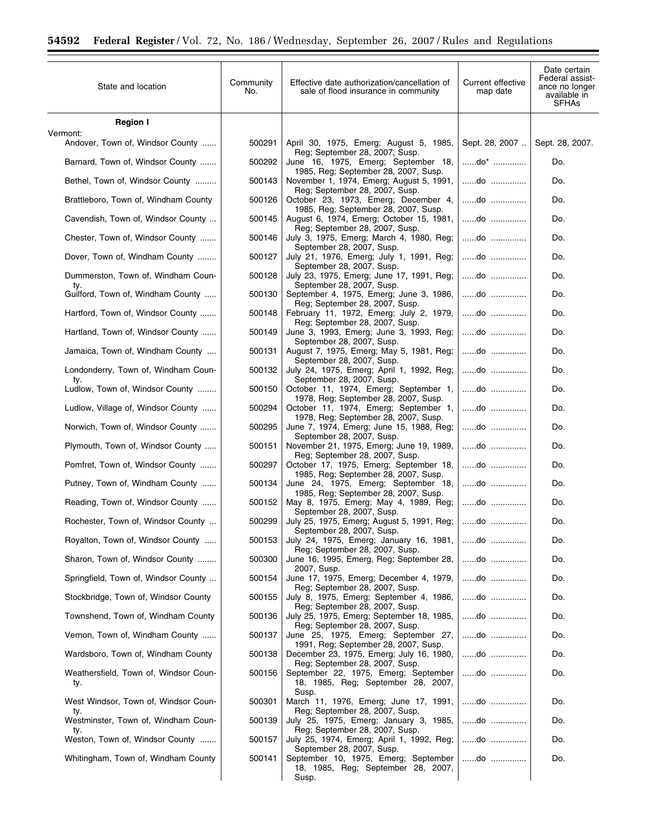$\equiv$ 

| State and location                           | Community<br>No. | Effective date authorization/cancellation of<br>sale of flood insurance in community                               | Current effective<br>map date | Date certain<br>Federal assist-<br>ance no longer<br>available in<br><b>SFHAs</b> |
|----------------------------------------------|------------------|--------------------------------------------------------------------------------------------------------------------|-------------------------------|-----------------------------------------------------------------------------------|
| <b>Region I</b>                              |                  |                                                                                                                    |                               |                                                                                   |
| Vermont:<br>Andover, Town of, Windsor County | 500291           | April 30, 1975, Emerg; August 5, 1985,                                                                             | Sept. 28, 2007                | Sept. 28, 2007.                                                                   |
| Barnard, Town of, Windsor County             | 500292           | Reg; September 28, 2007, Susp.<br>June 16, 1975, Emerg; September 18,                                              | $$ do* $$                     | Do.                                                                               |
| Bethel, Town of, Windsor County              | 500143           | 1985, Reg; September 28, 2007, Susp.<br>November 1, 1974, Emerg; August 5, 1991,                                   | do                            | Do.                                                                               |
| Brattleboro, Town of, Windham County         | 500126           | Reg; September 28, 2007, Susp.<br>October 23, 1973, Emerg; December 4,                                             | $$ do $$                      | Do.                                                                               |
| Cavendish, Town of, Windsor County           | 500145           | 1985, Reg; September 28, 2007, Susp.<br>August 6, 1974, Emerg; October 15, 1981,<br>Reg; September 28, 2007, Susp. | do                            | Do.                                                                               |
| Chester, Town of, Windsor County             | 500146           | July 3, 1975, Emerg; March 4, 1980, Reg;                                                                           | do                            | Do.                                                                               |
| Dover, Town of, Windham County               | 500127           | September 28, 2007, Susp.<br>July 21, 1976, Emerg; July 1, 1991, Reg;<br>September 28, 2007, Susp.                 | $$ do $$                      | Do.                                                                               |
| Dummerston, Town of, Windham Coun-           | 500128           | July 23, 1975, Emerg; June 17, 1991, Reg;<br>September 28, 2007, Susp.                                             | do                            | Do.                                                                               |
| ty.<br>Guilford, Town of, Windham County     | 500130           | September 4, 1975, Emerg; June 3, 1986,<br>Reg; September 28, 2007, Susp.                                          | do                            | Do.                                                                               |
| Hartford, Town of, Windsor County            | 500148           | February 11, 1972, Emerg; July 2, 1979,<br>Reg; September 28, 2007, Susp.                                          | do                            | Do.                                                                               |
| Hartland, Town of, Windsor County            | 500149           | June 3, 1993, Emerg; June 3, 1993, Reg;<br>September 28, 2007, Susp.                                               | do                            | Do.                                                                               |
| Jamaica, Town of, Windham County             | 500131           | August 7, 1975, Emerg; May 5, 1981, Reg;<br>September 28, 2007, Susp.                                              | do                            | Do.                                                                               |
| Londonderry, Town of, Windham Coun-<br>ty.   | 500132           | July 24, 1975, Emerg; April 1, 1992, Reg;<br>September 28, 2007, Susp.                                             | do                            | Do.                                                                               |
| Ludlow, Town of, Windsor County              | 500150           | October 11, 1974, Emerg; September 1,<br>1978, Reg; September 28, 2007, Susp.                                      | do                            | Do.                                                                               |
| Ludlow, Village of, Windsor County           | 500294           | October 11, 1974, Emerg; September 1,<br>1978, Reg; September 28, 2007, Susp.                                      | do                            | Do.                                                                               |
| Norwich, Town of, Windsor County             | 500295           | June 7, 1974, Emerg; June 15, 1988, Reg;<br>September 28, 2007, Susp.                                              | $$ do $$                      | Do.                                                                               |
| Plymouth, Town of, Windsor County            | 500151           | November 21, 1975, Emerg; June 19, 1989,<br>Reg; September 28, 2007, Susp.                                         | do                            | Do.                                                                               |
| Pomfret, Town of, Windsor County             | 500297           | October 17, 1975, Emerg; September 18,<br>1985, Reg; September 28, 2007, Susp.                                     | do                            | Do.                                                                               |
| Putney, Town of, Windham County              | 500134           | June 24, 1975, Emerg; September 18,<br>1985, Reg; September 28, 2007, Susp.                                        | do                            | Do.                                                                               |
| Reading, Town of, Windsor County             | 500152           | May 8, 1975, Emerg; May 4, 1989, Reg;<br>September 28, 2007, Susp.                                                 | do                            | Do.                                                                               |
| Rochester, Town of, Windsor County           | 500299           | July 25, 1975, Emerg; August 5, 1991, Reg;<br>September 28, 2007, Susp.                                            | do                            | Do.                                                                               |
| Royalton, Town of, Windsor County            | 500153           | July 24, 1975, Emerg; January 16, 1981,<br>Reg; September 28, 2007, Susp.                                          | do                            | Do.                                                                               |
| Sharon, Town of, Windsor County              | 500300           | June 16, 1995, Emerg, Reg; September 28,<br>2007, Susp.                                                            | do                            | Do.                                                                               |
| Springfield, Town of, Windsor County         | 500154           | June 17, 1975, Emerg; December 4, 1979,<br>Reg; September 28, 2007, Susp.                                          | do                            | Do.                                                                               |
| Stockbridge, Town of, Windsor County         | 500155           | July 8, 1975, Emerg; September 4, 1986,<br>Reg; September 28, 2007, Susp.                                          | do                            | Do.                                                                               |
| Townshend, Town of, Windham County           | 500136           | July 25, 1975, Emerg; September 18, 1985,<br>Reg; September 28, 2007, Susp.                                        | do                            | Do.                                                                               |
| Vernon, Town of, Windham County              | 500137           | June 25, 1975, Emerg; September 27,<br>1991, Reg; September 28, 2007, Susp.                                        | do                            | Do.                                                                               |
| Wardsboro, Town of, Windham County           | 500138           | December 23, 1975, Emerg; July 16, 1980,<br>Reg; September 28, 2007, Susp.                                         | do                            | Do.                                                                               |
| Weathersfield, Town of, Windsor Coun-<br>ty. | 500156           | September 22, 1975, Emerg; September<br>18, 1985, Reg; September 28, 2007,<br>Susp.                                | do                            | Do.                                                                               |
| West Windsor, Town of, Windsor Coun-<br>ty.  | 500301           | March 11, 1976, Emerg; June 17, 1991,<br>Reg; September 28, 2007, Susp.                                            | do                            | Do.                                                                               |
| Westminster, Town of, Windham Coun-<br>ty.   | 500139           | July 25, 1975, Emerg; January 3, 1985,<br>Reg; September 28, 2007, Susp.                                           | do                            | Do.                                                                               |
| Weston, Town of, Windsor County              | 500157           | July 25, 1974, Emerg; April 1, 1992, Reg;<br>September 28, 2007, Susp.                                             | do                            | Do.                                                                               |
| Whitingham, Town of, Windham County          | 500141           | September 10, 1975, Emerg; September<br>18, 1985, Reg; September 28, 2007,<br>Susp.                                | do                            | Do.                                                                               |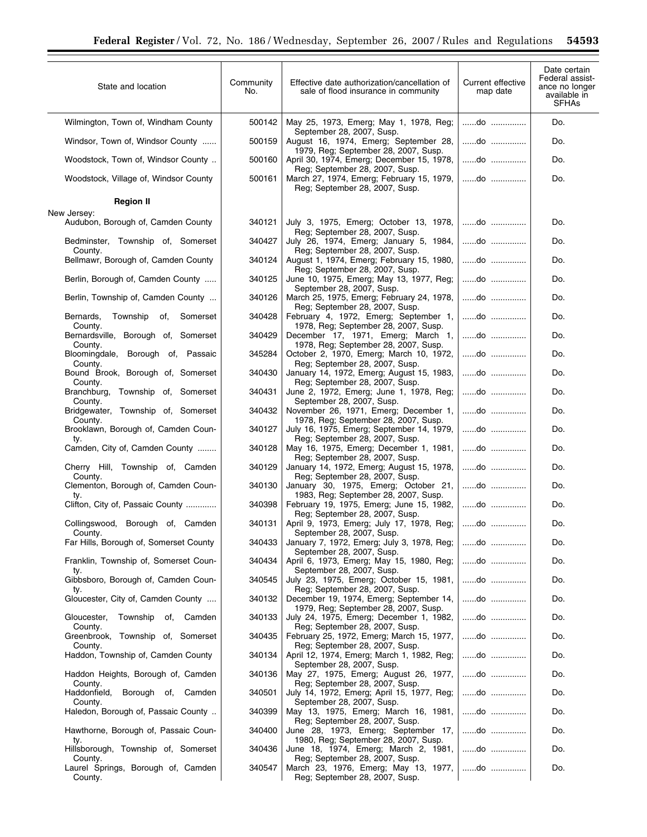| State and location                                  | Community<br>No. | Effective date authorization/cancellation of<br>sale of flood insurance in community                       | Current effective<br>map date | Date certain<br>Federal assist-<br>ance no longer<br>available in<br><b>SFHAs</b> |
|-----------------------------------------------------|------------------|------------------------------------------------------------------------------------------------------------|-------------------------------|-----------------------------------------------------------------------------------|
| Wilmington, Town of, Windham County                 | 500142           | May 25, 1973, Emerg; May 1, 1978, Reg;<br>September 28, 2007, Susp.                                        | do                            | Do.                                                                               |
| Windsor, Town of, Windsor County                    | 500159           | August 16, 1974, Emerg; September 28,<br>1979, Reg; September 28, 2007, Susp.                              | do                            | Do.                                                                               |
| Woodstock, Town of, Windsor County                  | 500160           | April 30, 1974, Emerg; December 15, 1978,<br>Reg; September 28, 2007, Susp.                                | do                            | Do.                                                                               |
| Woodstock, Village of, Windsor County               | 500161           | March 27, 1974, Emerg; February 15, 1979,<br>Reg; September 28, 2007, Susp.                                | do                            | Do.                                                                               |
| <b>Region II</b>                                    |                  |                                                                                                            |                               |                                                                                   |
| New Jersey:<br>Audubon, Borough of, Camden County   | 340121           | July 3, 1975, Emerg; October 13, 1978,                                                                     | do                            | Do.                                                                               |
| Bedminster, Township of, Somerset                   | 340427           | Reg; September 28, 2007, Susp.<br>July 26, 1974, Emerg; January 5, 1984,                                   | do                            | Do.                                                                               |
| County.<br>Bellmawr, Borough of, Camden County      | 340124           | Reg; September 28, 2007, Susp.<br>August 1, 1974, Emerg; February 15, 1980,                                | do                            | Do.                                                                               |
| Berlin, Borough of, Camden County                   | 340125           | Reg: September 28, 2007, Susp.<br>June 10, 1975, Emerg; May 13, 1977, Reg;<br>September 28, 2007, Susp.    | do                            | Do.                                                                               |
| Berlin, Township of, Camden County                  | 340126           | March 25, 1975, Emerg; February 24, 1978,<br>Reg; September 28, 2007, Susp.                                | $\dots$ do $\dots$            | Do.                                                                               |
| Bernards,<br>Township<br>of,<br>Somerset<br>County. | 340428           | February 4, 1972, Emerg; September 1,<br>1978, Reg; September 28, 2007, Susp.                              | do                            | Do.                                                                               |
| Bernardsville, Borough of, Somerset<br>County.      | 340429           | December 17, 1971, Emerg; March 1,<br>1978, Reg; September 28, 2007, Susp.                                 | do                            | Do.                                                                               |
| Bloomingdale, Borough of, Passaic<br>County.        | 345284           | October 2, 1970, Emerg; March 10, 1972,<br>Reg; September 28, 2007, Susp.                                  | do                            | Do.                                                                               |
| Bound Brook, Borough of, Somerset<br>County.        | 340430           | January 14, 1972, Emerg; August 15, 1983,<br>Reg; September 28, 2007, Susp.                                | do                            | Do.                                                                               |
| Branchburg, Township of, Somerset<br>County.        | 340431           | June 2, 1972, Emerg; June 1, 1978, Reg;<br>September 28, 2007, Susp.                                       | do                            | Do.                                                                               |
| Bridgewater, Township of, Somerset<br>County.       | 340432           | November 26, 1971, Emerg; December 1,<br>1978, Reg; September 28, 2007, Susp.                              | do                            | Do.                                                                               |
| Brooklawn, Borough of, Camden Coun-                 | 340127           | July 16, 1975, Emerg; September 14, 1979,                                                                  | do                            | Do.                                                                               |
| ty.<br>Camden, City of, Camden County               | 340128           | Reg; September 28, 2007, Susp.<br>May 16, 1975, Emerg; December 1, 1981,<br>Reg; September 28, 2007, Susp. | do                            | Do.                                                                               |
| Cherry Hill, Township of, Camden<br>County.         | 340129           | January 14, 1972, Emerg; August 15, 1978,<br>Reg; September 28, 2007, Susp.                                | do                            | Do.                                                                               |
| Clementon, Borough of, Camden Coun-<br>ty.          | 340130           | January 30, 1975, Emerg; October 21,<br>1983, Reg; September 28, 2007, Susp.                               | do                            | Do.                                                                               |
| Clifton, City of, Passaic County                    | 340398           | February 19, 1975, Emerg; June 15, 1982,<br>Reg; September 28, 2007, Susp.                                 | do                            | Do.                                                                               |
| Collingswood, Borough of, Camden<br>County.         | 340131           | April 9, 1973, Emerg; July 17, 1978, Reg;<br>September 28, 2007, Susp.                                     | do                            | Do.                                                                               |
| Far Hills, Borough of, Somerset County              | 340433           | January 7, 1972, Emerg; July 3, 1978, Reg;<br>September 28, 2007, Susp.                                    | do                            | Do.                                                                               |
| Franklin, Township of, Somerset Coun-<br>ty.        | 340434           | April 6, 1973, Emerg; May 15, 1980, Reg;<br>September 28, 2007, Susp.                                      | do                            | Do.                                                                               |
| Gibbsboro, Borough of, Camden Coun-<br>ty.          | 340545           | July 23, 1975, Emerg; October 15, 1981,<br>Reg; September 28, 2007, Susp.                                  | do                            | Do.                                                                               |
| Gloucester, City of, Camden County                  | 340132           | December 19, 1974, Emerg; September 14,<br>1979, Reg; September 28, 2007, Susp.                            | do                            | Do.                                                                               |
| Gloucester,<br>Township<br>of, Camden<br>County.    | 340133           | July 24, 1975, Emerg; December 1, 1982,<br>Reg; September 28, 2007, Susp.                                  | do                            | Do.                                                                               |
| Greenbrook, Township of, Somerset<br>County.        | 340435           | February 25, 1972, Emerg; March 15, 1977,<br>Reg; September 28, 2007, Susp.                                | do                            | Do.                                                                               |
| Haddon, Township of, Camden County                  | 340134           | April 12, 1974, Emerg; March 1, 1982, Reg;<br>September 28, 2007, Susp.                                    | do                            | Do.                                                                               |
| Haddon Heights, Borough of, Camden<br>County.       | 340136           | May 27, 1975, Emerg; August 26, 1977,<br>Reg; September 28, 2007, Susp.                                    | do                            | Do.                                                                               |
| Haddonfield, Borough of, Camden<br>County.          | 340501           | July 14, 1972, Emerg; April 15, 1977, Reg;<br>September 28, 2007, Susp.                                    | do                            | Do.                                                                               |
| Haledon, Borough of, Passaic County                 | 340399           | May 13, 1975, Emerg; March 16, 1981,<br>Reg; September 28, 2007, Susp.                                     | do                            | Do.                                                                               |
| Hawthorne, Borough of, Passaic Coun-<br>ty.         | 340400           | June 28, 1973, Emerg; September 17,<br>1980, Reg; September 28, 2007, Susp.                                | do                            | Do.                                                                               |
| Hillsborough, Township of, Somerset<br>County.      | 340436           | June 18, 1974, Emerg; March 2, 1981,<br>Reg; September 28, 2007, Susp.                                     | do                            | Do.                                                                               |
| Laurel Springs, Borough of, Camden<br>County.       | 340547           | March 23, 1976, Emerg; May 13, 1977,<br>Reg; September 28, 2007, Susp.                                     | do                            | Do.                                                                               |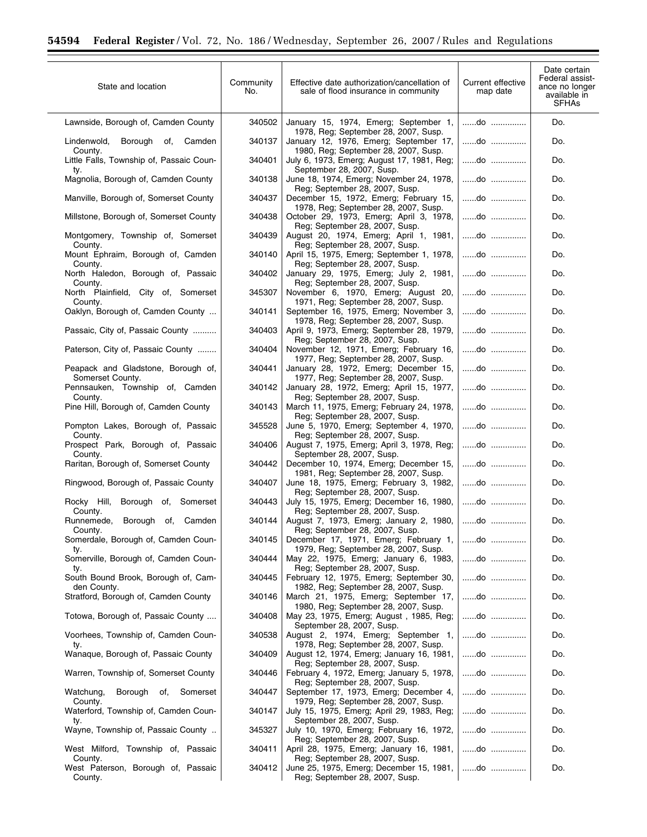$\equiv$ 

| State and location                                     | Community<br>No. | Effective date authorization/cancellation of<br>sale of flood insurance in community | Current effective<br>map date | Date certain<br>Federal assist-<br>ance no longer<br>available in<br><b>SFHAs</b> |
|--------------------------------------------------------|------------------|--------------------------------------------------------------------------------------|-------------------------------|-----------------------------------------------------------------------------------|
| Lawnside, Borough of, Camden County                    | 340502           | January 15, 1974, Emerg; September 1,<br>1978, Reg; September 28, 2007, Susp.        | do                            | Do.                                                                               |
| Lindenwold,<br>Borough of,<br>Camden<br>County.        | 340137           | January 12, 1976, Emerg; September 17,<br>1980, Reg; September 28, 2007, Susp.       | do                            | Do.                                                                               |
| Little Falls, Township of, Passaic Coun-<br>ty.        | 340401           | July 6, 1973, Emerg; August 17, 1981, Reg;<br>September 28, 2007, Susp.              | do                            | Do.                                                                               |
| Magnolia, Borough of, Camden County                    | 340138           | June 18, 1974, Emerg; November 24, 1978,<br>Reg; September 28, 2007, Susp.           | do                            | Do.                                                                               |
| Manville, Borough of, Somerset County                  | 340437           | December 15, 1972, Emerg; February 15,<br>1978, Reg; September 28, 2007, Susp.       | do                            | Do.                                                                               |
| Millstone, Borough of, Somerset County                 | 340438           | October 29, 1973, Emerg; April 3, 1978,<br>Reg; September 28, 2007, Susp.            | do                            | Do.                                                                               |
| Montgomery, Township of, Somerset<br>County.           | 340439           | August 20, 1974, Emerg; April 1, 1981,<br>Reg; September 28, 2007, Susp.             | do                            | Do.                                                                               |
| Mount Ephraim, Borough of, Camden<br>County.           | 340140           | April 15, 1975, Emerg; September 1, 1978,<br>Reg; September 28, 2007, Susp.          | do                            | Do.                                                                               |
| North Haledon, Borough of, Passaic<br>County.          | 340402           | January 29, 1975, Emerg; July 2, 1981,<br>Reg; September 28, 2007, Susp.             | do                            | Do.                                                                               |
| North Plainfield, City of, Somerset<br>County.         | 345307           | November 6, 1970, Emerg; August 20,<br>1971, Reg; September 28, 2007, Susp.          | do                            | Do.                                                                               |
| Oaklyn, Borough of, Camden County                      | 340141           | September 16, 1975, Emerg; November 3,<br>1978, Reg; September 28, 2007, Susp.       | do                            | Do.                                                                               |
| Passaic, City of, Passaic County                       | 340403           | April 9, 1973, Emerg; September 28, 1979,<br>Reg: September 28, 2007, Susp.          | do                            | Do.                                                                               |
| Paterson, City of, Passaic County                      | 340404           | November 12, 1971, Emerg; February 16,<br>1977, Reg: September 28, 2007, Susp.       | do                            | Do.                                                                               |
| Peapack and Gladstone, Borough of,<br>Somerset County. | 340441           | January 28, 1972, Emerg; December 15,<br>1977, Reg; September 28, 2007, Susp.        | do                            | Do.                                                                               |
| Pennsauken, Township of, Camden<br>County.             | 340142           | January 28, 1972, Emerg; April 15, 1977,<br>Reg; September 28, 2007, Susp.           | do                            | Do.                                                                               |
| Pine Hill, Borough of, Camden County                   | 340143           | March 11, 1975, Emerg; February 24, 1978,<br>Reg; September 28, 2007, Susp.          | do                            | Do.                                                                               |
| Pompton Lakes, Borough of, Passaic<br>County.          | 345528           | June 5, 1970, Emerg; September 4, 1970,<br>Reg; September 28, 2007, Susp.            | do                            | Do.                                                                               |
| Prospect Park, Borough of, Passaic<br>County.          | 340406           | August 7, 1975, Emerg; April 3, 1978, Reg;<br>September 28, 2007, Susp.              | do                            | Do.                                                                               |
| Raritan, Borough of, Somerset County                   | 340442           | December 10, 1974, Emerg; December 15,<br>1981, Reg; September 28, 2007, Susp.       | do                            | Do.                                                                               |
| Ringwood, Borough of, Passaic County                   | 340407           | June 18, 1975, Emerg; February 3, 1982,<br>Reg; September 28, 2007, Susp.            | do                            | Do.                                                                               |
| Rocky Hill,<br>Borough of, Somerset<br>County.         | 340443           | July 15, 1975, Emerg; December 16, 1980,<br>Reg; September 28, 2007, Susp.           | do                            | Do.                                                                               |
| Runnemede,<br>Borough of,<br>Camden<br>County.         | 340144           | August 7, 1973, Emerg; January 2, 1980,<br>Reg; September 28, 2007, Susp.            | do                            | Do.                                                                               |
| Somerdale, Borough of, Camden Coun-<br>ty.             | 340145           | December 17, 1971, Emerg; February 1,<br>1979, Reg: September 28, 2007, Susp.        | do                            | Do.                                                                               |
| Somerville, Borough of, Camden Coun-<br>ty.            | 340444           | May 22, 1975, Emerg; January 6, 1983,<br>Reg; September 28, 2007, Susp.              | do                            | Do.                                                                               |
| South Bound Brook, Borough of, Cam-<br>den County.     | 340445           | February 12, 1975, Emerg; September 30,<br>1982, Reg; September 28, 2007, Susp.      | do                            | Do.                                                                               |
| Stratford, Borough of, Camden County                   | 340146           | March 21, 1975, Emerg; September 17,<br>1980, Reg; September 28, 2007, Susp.         | do                            | Do.                                                                               |
| Totowa, Borough of, Passaic County                     | 340408           | May 23, 1975, Emerg; August, 1985, Reg;<br>September 28, 2007, Susp.                 | do                            | Do.                                                                               |
| Voorhees, Township of, Camden Coun-<br>ty.             | 340538           | August 2, 1974, Emerg; September 1,<br>1978, Reg; September 28, 2007, Susp.          | do                            | Do.                                                                               |
| Wanaque, Borough of, Passaic County                    | 340409           | August 12, 1974, Emerg; January 16, 1981,<br>Reg; September 28, 2007, Susp.          | do                            | Do.                                                                               |
| Warren, Township of, Somerset County                   | 340446           | February 4, 1972, Emerg; January 5, 1978,<br>Reg; September 28, 2007, Susp.          | do                            | Do.                                                                               |
| Watchung,<br>Borough of,<br>Somerset<br>County.        | 340447           | September 17, 1973, Emerg; December 4,<br>1979, Reg; September 28, 2007, Susp.       | do                            | Do.                                                                               |
| Waterford, Township of, Camden Coun-<br>ty.            | 340147           | July 15, 1975, Emerg; April 29, 1983, Reg;<br>September 28, 2007, Susp.              | do                            | Do.                                                                               |
| Wayne, Township of, Passaic County                     | 345327           | July 10, 1970, Emerg; February 16, 1972,<br>Reg; September 28, 2007, Susp.           | do                            | Do.                                                                               |
| West Milford, Township of, Passaic<br>County.          | 340411           | April 28, 1975, Emerg; January 16, 1981,<br>Reg; September 28, 2007, Susp.           | do                            | Do.                                                                               |
| West Paterson, Borough of, Passaic<br>County.          | 340412           | June 25, 1975, Emerg; December 15, 1981,<br>Reg; September 28, 2007, Susp.           | do                            | Do.                                                                               |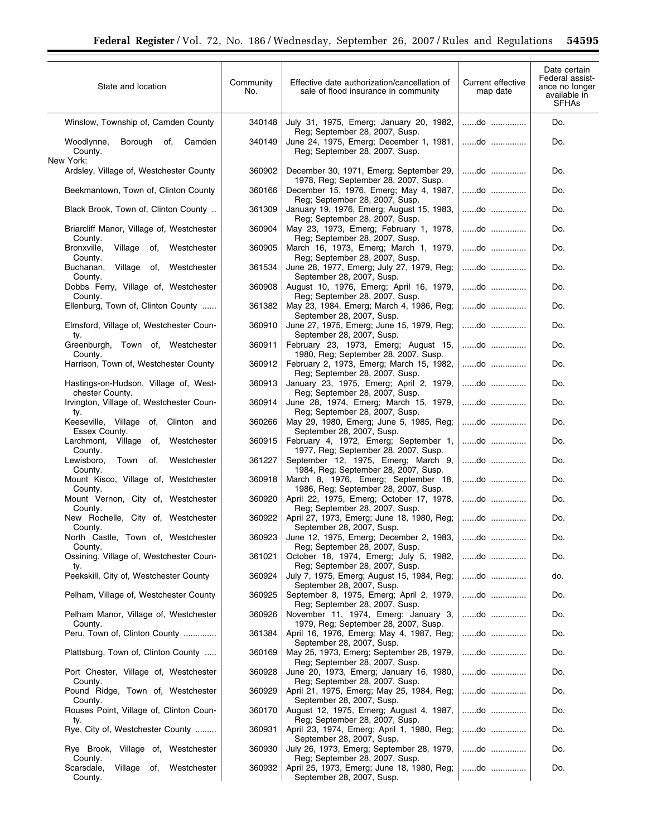i.

| State and location                                       | Community<br>No. | Effective date authorization/cancellation of<br>sale of flood insurance in community | Current effective<br>map date | Date certain<br>Federal assist-<br>ance no longer<br>available in<br><b>SFHAs</b> |
|----------------------------------------------------------|------------------|--------------------------------------------------------------------------------------|-------------------------------|-----------------------------------------------------------------------------------|
| Winslow, Township of, Camden County                      | 340148           | July 31, 1975, Emerg; January 20, 1982,<br>Reg; September 28, 2007, Susp.            | do                            | Do.                                                                               |
| Woodlynne,<br>Borough<br>of,<br>Camden<br>County.        | 340149           | June 24, 1975, Emerg; December 1, 1981,<br>Reg; September 28, 2007, Susp.            | do                            | Do.                                                                               |
| New York:<br>Ardsley, Village of, Westchester County     | 360902           | December 30, 1971, Emerg; September 29,<br>1978, Reg; September 28, 2007, Susp.      | do                            | Do.                                                                               |
| Beekmantown, Town of, Clinton County                     | 360166           | December 15, 1976, Emerg; May 4, 1987,<br>Reg; September 28, 2007, Susp.             | do                            | Do.                                                                               |
| Black Brook, Town of, Clinton County                     | 361309           | January 19, 1976, Emerg; August 15, 1983,<br>Reg; September 28, 2007, Susp.          | do                            | Do.                                                                               |
| Briarcliff Manor, Village of, Westchester<br>County.     | 360904           | May 23, 1973, Emerg; February 1, 1978,<br>Reg; September 28, 2007, Susp.             | do                            | Do.                                                                               |
| Bronxville,<br>Village of,<br>Westchester<br>County.     | 360905           | March 16, 1973, Emerg; March 1, 1979,<br>Reg; September 28, 2007, Susp.              | do                            | Do.                                                                               |
| Buchanan,<br>Village of,<br>Westchester<br>County.       | 361534           | June 28, 1977, Emerg; July 27, 1979, Reg;<br>September 28, 2007, Susp.               | do                            | Do.                                                                               |
| Dobbs Ferry, Village of, Westchester<br>County.          | 360908           | August 10, 1976, Emerg; April 16, 1979,<br>Reg; September 28, 2007, Susp.            | do                            | Do.                                                                               |
| Ellenburg, Town of, Clinton County                       | 361382           | May 23, 1984, Emerg; March 4, 1986, Reg;<br>September 28, 2007, Susp.                | do                            | Do.                                                                               |
| Elmsford, Village of, Westchester Coun-<br>ty.           | 360910           | June 27, 1975, Emerg; June 15, 1979, Reg;<br>September 28, 2007, Susp.               | do                            | Do.                                                                               |
| Greenburgh, Town of, Westchester<br>County.              | 360911           | February 23, 1973, Emerg; August 15,<br>1980, Reg; September 28, 2007, Susp.         | do                            | Do.                                                                               |
| Harrison, Town of, Westchester County                    | 360912           | February 2, 1973, Emerg; March 15, 1982,<br>Reg; September 28, 2007, Susp.           | do                            | Do.                                                                               |
| Hastings-on-Hudson, Village of, West-<br>chester County. | 360913           | January 23, 1975, Emerg; April 2, 1979,<br>Reg; September 28, 2007, Susp.            | do                            | Do.                                                                               |
| Irvington, Village of, Westchester Coun-<br>ty.          | 360914           | June 28, 1974, Emerg; March 15, 1979,<br>Reg; September 28, 2007, Susp.              | do                            | Do.                                                                               |
| Keeseville, Village of, Clinton and<br>Essex County.     | 360266           | May 29, 1980, Emerg; June 5, 1985, Reg;<br>September 28, 2007, Susp.                 | do                            | Do.                                                                               |
| Larchmont, Village of,<br>Westchester<br>County.         | 360915           | February 4, 1972, Emerg; September 1,<br>1977, Reg; September 28, 2007, Susp.        | do                            | Do.                                                                               |
| Lewisboro,<br>Town of,<br>Westchester<br>County.         | 361227           | September 12, 1975, Emerg; March 9,<br>1984, Reg; September 28, 2007, Susp.          | do                            | Do.                                                                               |
| Mount Kisco, Village of, Westchester<br>County.          | 360918           | March 8, 1976, Emerg; September 18,<br>1986, Reg; September 28, 2007, Susp.          | do                            | Do.                                                                               |
| Mount Vernon, City of, Westchester<br>County.            | 360920           | April 22, 1975, Emerg; October 17, 1978,<br>Reg; September 28, 2007, Susp.           | do                            | Do.                                                                               |
| New Rochelle, City of, Westchester<br>County.            | 360922           | April 27, 1973, Emerg; June 18, 1980, Reg;<br>September 28, 2007, Susp.              | do                            | Do.                                                                               |
| North Castle, Town of, Westchester<br>County.            | 360923           | June 12, 1975, Emerg; December 2, 1983,<br>Reg: September 28, 2007, Susp.            | $do$                          | Do.                                                                               |
| Ossining, Village of, Westchester Coun-<br>ty.           | 361021           | October 18, 1974, Emerg; July 5, 1982,<br>Reg; September 28, 2007, Susp.             | do                            | Do.                                                                               |
| Peekskill, City of, Westchester County                   | 360924           | July 7, 1975, Emerg; August 15, 1984, Reg;<br>September 28, 2007, Susp.              | do                            | do.                                                                               |
| Pelham, Village of, Westchester County                   | 360925           | September 8, 1975, Emerg; April 2, 1979,<br>Reg; September 28, 2007, Susp.           | do                            | Do.                                                                               |
| Pelham Manor, Village of, Westchester<br>County.         | 360926           | November 11, 1974, Emerg; January 3,<br>1979, Reg; September 28, 2007, Susp.         | do                            | Do.                                                                               |
| Peru, Town of, Clinton County                            | 361384           | April 16, 1976, Emerg; May 4, 1987, Reg;<br>September 28, 2007, Susp.                | do                            | Do.                                                                               |
| Plattsburg, Town of, Clinton County                      | 360169           | May 25, 1973, Emerg; September 28, 1979,<br>Reg; September 28, 2007, Susp.           | do                            | Do.                                                                               |
| Port Chester, Village of, Westchester<br>County.         | 360928           | June 20, 1973, Emerg; January 16, 1980,<br>Reg; September 28, 2007, Susp.            | do                            | Do.                                                                               |
| Pound Ridge, Town of, Westchester<br>County.             | 360929           | April 21, 1975, Emerg; May 25, 1984, Reg;<br>September 28, 2007, Susp.               | do                            | Do.                                                                               |
| Rouses Point, Village of, Clinton Coun-<br>ty.           | 360170           | August 12, 1975, Emerg; August 4, 1987,<br>Reg; September 28, 2007, Susp.            | do                            | Do.                                                                               |
| Rye, City of, Westchester County                         | 360931           | April 23, 1974, Emerg; April 1, 1980, Reg;<br>September 28, 2007, Susp.              | do                            | Do.                                                                               |
| Rye Brook, Village of, Westchester<br>County.            | 360930           | July 26, 1973, Emerg; September 28, 1979,<br>Reg; September 28, 2007, Susp.          | do                            | Do.                                                                               |
| Scarsdale,<br>Village of,<br>Westchester<br>County.      | 360932           | April 25, 1973, Emerg; June 18, 1980, Reg;<br>September 28, 2007, Susp.              | do                            | Do.                                                                               |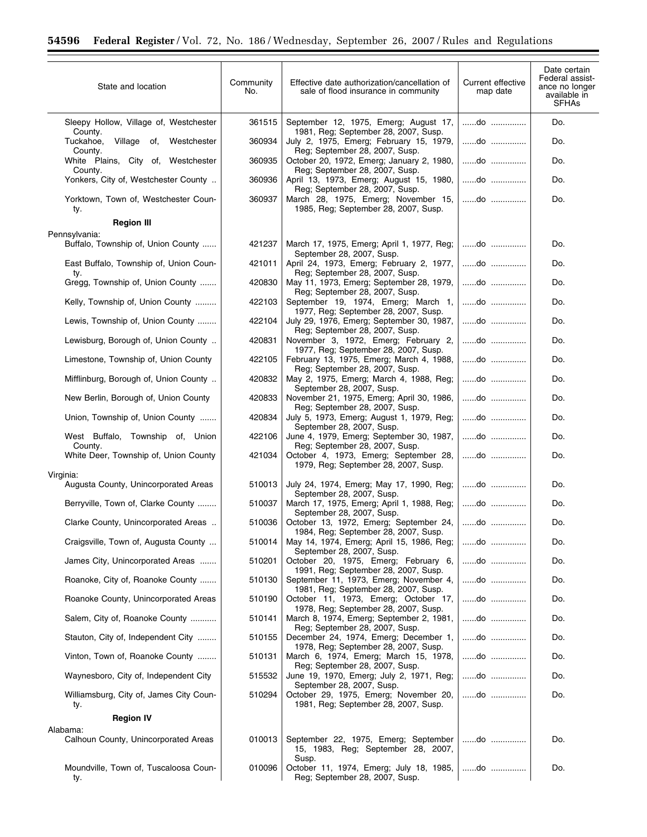$\equiv$ 

| State and location                                  | Community<br>No. | Effective date authorization/cancellation of<br>sale of flood insurance in community                          | Current effective<br>map date | Date certain<br>Federal assist-<br>ance no longer<br>available in<br><b>SFHAs</b> |
|-----------------------------------------------------|------------------|---------------------------------------------------------------------------------------------------------------|-------------------------------|-----------------------------------------------------------------------------------|
| Sleepy Hollow, Village of, Westchester<br>County.   | 361515           | September 12, 1975, Emerg; August 17,<br>1981, Reg; September 28, 2007, Susp.                                 | do                            | Do.                                                                               |
| Village of,<br>Tuckahoe,<br>Westchester<br>County.  | 360934           | July 2, 1975, Emerg; February 15, 1979,<br>Reg; September 28, 2007, Susp.                                     | do                            | Do.                                                                               |
| White Plains, City of, Westchester<br>County.       | 360935           | October 20, 1972, Emerg; January 2, 1980,<br>Reg; September 28, 2007, Susp.                                   | do                            | Do.                                                                               |
| Yonkers, City of, Westchester County                | 360936           | April 13, 1973, Emerg; August 15, 1980,                                                                       | do                            | Do.                                                                               |
| Yorktown, Town of, Westchester Coun-<br>ty.         | 360937           | Reg; September 28, 2007, Susp.<br>March 28, 1975, Emerg; November 15,<br>1985, Reg; September 28, 2007, Susp. | do                            | Do.                                                                               |
| <b>Region III</b>                                   |                  |                                                                                                               |                               |                                                                                   |
| Pennsylvania:<br>Buffalo, Township of, Union County | 421237           | March 17, 1975, Emerg; April 1, 1977, Reg;                                                                    | do                            | Do.                                                                               |
| East Buffalo, Township of, Union Coun-              | 421011           | September 28, 2007, Susp.<br>April 24, 1973, Emerg; February 2, 1977,                                         | do                            | Do.                                                                               |
| ty.<br>Gregg, Township of, Union County             | 420830           | Reg; September 28, 2007, Susp.<br>May 11, 1973, Emerg; September 28, 1979,<br>Reg; September 28, 2007, Susp.  | $do$                          | Do.                                                                               |
| Kelly, Township of, Union County                    | 422103           | September 19, 1974, Emerg; March 1,<br>1977, Reg; September 28, 2007, Susp.                                   | do                            | Do.                                                                               |
| Lewis, Township of, Union County                    | 422104           | July 29, 1976, Emerg; September 30, 1987,<br>Reg; September 28, 2007, Susp.                                   | do                            | Do.                                                                               |
| Lewisburg, Borough of, Union County                 | 420831           | November 3, 1972, Emerg; February 2,<br>1977, Reg; September 28, 2007, Susp.                                  | $\dots \dots$ do              | Do.                                                                               |
| Limestone, Township of, Union County                | 422105           | February 13, 1975, Emerg; March 4, 1988,<br>Reg; September 28, 2007, Susp.                                    | do                            | Do.                                                                               |
| Mifflinburg, Borough of, Union County               | 420832           | May 2, 1975, Emerg; March 4, 1988, Reg;<br>September 28, 2007, Susp.                                          | do                            | Do.                                                                               |
| New Berlin, Borough of, Union County                | 420833           | November 21, 1975, Emerg; April 30, 1986,<br>Reg; September 28, 2007, Susp.                                   | do                            | Do.                                                                               |
| Union, Township of, Union County                    | 420834           | July 5, 1973, Emerg; August 1, 1979, Reg;<br>September 28, 2007, Susp.                                        | do                            | Do.                                                                               |
| West Buffalo, Township of, Union<br>County.         | 422106           | June 4, 1979, Emerg; September 30, 1987,<br>Reg; September 28, 2007, Susp.                                    | do                            | Do.                                                                               |
| White Deer, Township of, Union County               | 421034           | October 4, 1973, Emerg; September 28,<br>1979, Reg; September 28, 2007, Susp.                                 | do                            | Do.                                                                               |
| Virginia:                                           |                  |                                                                                                               |                               |                                                                                   |
| Augusta County, Unincorporated Areas                | 510013           | July 24, 1974, Emerg; May 17, 1990, Reg;<br>September 28, 2007, Susp.                                         | do                            | Do.                                                                               |
| Berryville, Town of, Clarke County                  | 510037           | March 17, 1975, Emerg; April 1, 1988, Reg;<br>September 28, 2007, Susp.                                       | do                            | Do.                                                                               |
| Clarke County, Unincorporated Areas                 | 510036           | October 13, 1972, Emerg; September 24,<br>1984, Reg; September 28, 2007, Susp.                                | do                            | Do.                                                                               |
| Craigsville, Town of, Augusta County                | 510014           | May 14, 1974, Emerg; April 15, 1986, Reg;<br>September 28, 2007, Susp.                                        | do                            | Do.                                                                               |
| James City, Unincorporated Areas                    | 510201           | October 20, 1975, Emerg; February 6,<br>1991, Reg; September 28, 2007, Susp.                                  | do                            | Do.                                                                               |
| Roanoke, City of, Roanoke County                    | 510130           | September 11, 1973, Emerg; November 4,<br>1981, Reg; September 28, 2007, Susp.                                | do                            | Do.                                                                               |
| Roanoke County, Unincorporated Areas                | 510190           | October 11, 1973, Emerg; October 17,<br>1978, Reg; September 28, 2007, Susp.                                  | do                            | Do.                                                                               |
| Salem, City of, Roanoke County                      | 510141           | March 8, 1974, Emerg; September 2, 1981,<br>Reg; September 28, 2007, Susp.                                    | do                            | Do.                                                                               |
| Stauton, City of, Independent City                  | 510155           | December 24, 1974, Emerg; December 1,<br>1978, Reg; September 28, 2007, Susp.                                 | do                            | Do.                                                                               |
| Vinton, Town of, Roanoke County                     | 510131           | March 6, 1974, Emerg; March 15, 1978,<br>Reg; September 28, 2007, Susp.                                       | do                            | Do.                                                                               |
| Waynesboro, City of, Independent City               | 515532           | June 19, 1970, Emerg; July 2, 1971, Reg;<br>September 28, 2007, Susp.                                         | do                            | Do.                                                                               |
| Williamsburg, City of, James City Coun-<br>ty.      | 510294           | October 29, 1975, Emerg; November 20,<br>1981, Reg; September 28, 2007, Susp.                                 | do                            | Do.                                                                               |
| <b>Region IV</b>                                    |                  |                                                                                                               |                               |                                                                                   |
| Alabama:<br>Calhoun County, Unincorporated Areas    | 010013           | September 22, 1975, Emerg; September<br>15, 1983, Reg; September 28, 2007,                                    | do                            | Do.                                                                               |
| Moundville, Town of, Tuscaloosa Coun-<br>ty.        | 010096           | Susp.<br>October 11, 1974, Emerg; July 18, 1985,<br>Reg; September 28, 2007, Susp.                            | do                            | Do.                                                                               |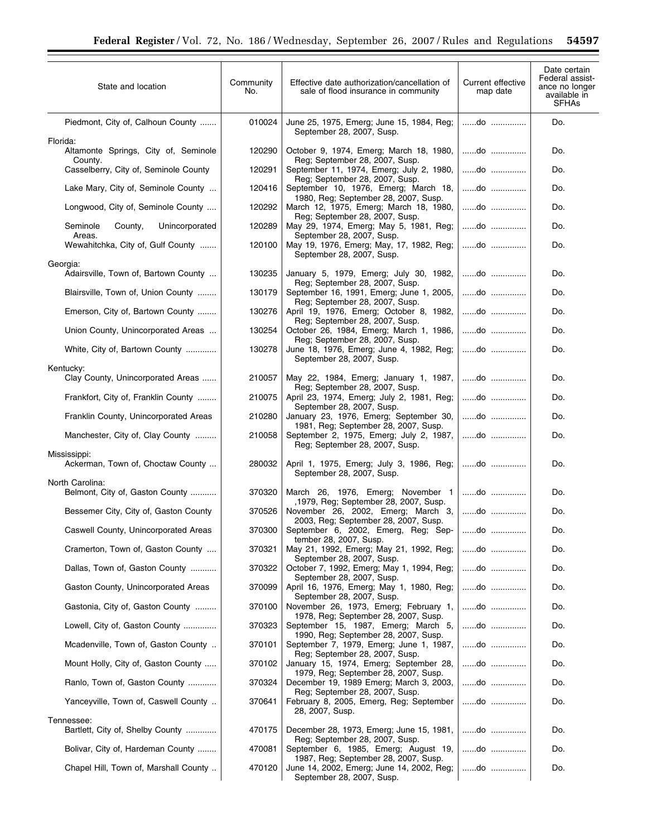| State and location                                 | Community<br>No. | Effective date authorization/cancellation of<br>sale of flood insurance in community                           | Current effective<br>map date | Date certain<br>Federal assist-<br>ance no longer<br>available in<br><b>SFHAs</b> |
|----------------------------------------------------|------------------|----------------------------------------------------------------------------------------------------------------|-------------------------------|-----------------------------------------------------------------------------------|
| Piedmont, City of, Calhoun County<br>Florida:      | 010024           | June 25, 1975, Emerg; June 15, 1984, Reg;<br>September 28, 2007, Susp.                                         | do                            | Do.                                                                               |
| Altamonte Springs, City of, Seminole<br>County.    | 120290           | October 9, 1974, Emerg; March 18, 1980,<br>Reg; September 28, 2007, Susp.                                      | do                            | Do.                                                                               |
| Casselberry, City of, Seminole County              | 120291           | September 11, 1974, Emerg; July 2, 1980,<br>Reg; September 28, 2007, Susp.                                     | do                            | Do.                                                                               |
| Lake Mary, City of, Seminole County                | 120416           | September 10, 1976, Emerg; March 18,<br>1980, Reg; September 28, 2007, Susp.                                   | do                            | Do.                                                                               |
| Longwood, City of, Seminole County                 | 120292           | March 12, 1975, Emerg; March 18, 1980,<br>Reg; September 28, 2007, Susp.                                       | do                            | Do.                                                                               |
| Seminole<br>County,<br>Unincorporated<br>Areas.    | 120289           | May 29, 1974, Emerg; May 5, 1981, Reg;<br>September 28, 2007, Susp.                                            | do                            | Do.                                                                               |
| Wewahitchka, City of, Gulf County                  | 120100           | May 19, 1976, Emerg; May, 17, 1982, Reg;<br>September 28, 2007, Susp.                                          | do                            | Do.                                                                               |
| Georgia:<br>Adairsville, Town of, Bartown County   | 130235           | January 5, 1979, Emerg; July 30, 1982,<br>Reg; September 28, 2007, Susp.                                       | do                            | Do.                                                                               |
| Blairsville, Town of, Union County                 | 130179           | September 16, 1991, Emerg; June 1, 2005,<br>Reg; September 28, 2007, Susp.                                     | do                            | Do.                                                                               |
| Emerson, City of, Bartown County                   | 130276           | April 19, 1976, Emerg; October 8, 1982,<br>Reg; September 28, 2007, Susp.                                      | do                            | Do.                                                                               |
| Union County, Unincorporated Areas                 | 130254           | October 26, 1984, Emerg; March 1, 1986,<br>Reg; September 28, 2007, Susp.                                      | do                            | Do.                                                                               |
| White, City of, Bartown County                     | 130278           | June 18, 1976, Emerg; June 4, 1982, Reg;<br>September 28, 2007, Susp.                                          | do                            | Do.                                                                               |
| Kentucky:<br>Clay County, Unincorporated Areas     | 210057           | May 22, 1984, Emerg; January 1, 1987,                                                                          | do                            | Do.                                                                               |
| Frankfort, City of, Franklin County                | 210075           | Reg; September 28, 2007, Susp.<br>April 23, 1974, Emerg; July 2, 1981, Reg;                                    | do                            | Do.                                                                               |
| Franklin County, Unincorporated Areas              | 210280           | September 28, 2007, Susp.<br>January 23, 1976, Emerg; September 30,                                            | do                            | Do.                                                                               |
| Manchester, City of, Clay County                   | 210058           | 1981, Reg; September 28, 2007, Susp.<br>September 2, 1975, Emerg; July 2, 1987,                                | do                            | Do.                                                                               |
| Mississippi:                                       |                  | Reg; September 28, 2007, Susp.                                                                                 |                               |                                                                                   |
| Ackerman, Town of, Choctaw County                  | 280032           | April 1, 1975, Emerg; July 3, 1986, Reg;<br>September 28, 2007, Susp.                                          | do                            | Do.                                                                               |
| North Carolina:<br>Belmont, City of, Gaston County | 370320           | March 26, 1976, Emerg; November 1<br>,1979, Reg; September 28, 2007, Susp.                                     | do                            | Do.                                                                               |
| Bessemer City, City of, Gaston County              | 370526           | November 26, 2002, Emerg; March 3,<br>2003, Reg; September 28, 2007, Susp.                                     | do                            | Do.                                                                               |
| Caswell County, Unincorporated Areas               | 370300           | September 6, 2002, Emerg, Reg; Sep-<br>tember 28, 2007, Susp.                                                  | do                            | Do.                                                                               |
| Cramerton, Town of, Gaston County                  | 370321           | May 21, 1992, Emerg; May 21, 1992, Reg;<br>September 28, 2007, Susp.                                           | do                            | Do.                                                                               |
| Dallas, Town of, Gaston County                     | 370322           | October 7, 1992, Emerg; May 1, 1994, Reg;<br>September 28, 2007, Susp.                                         | do                            | Do.                                                                               |
| Gaston County, Unincorporated Areas                | 370099           | April 16, 1976, Emerg; May 1, 1980, Reg;<br>September 28, 2007, Susp.                                          | do                            | Do.                                                                               |
| Gastonia, City of, Gaston County                   | 370100           | November 26, 1973, Emerg; February 1,<br>1978, Reg; September 28, 2007, Susp.                                  | do                            | Do.                                                                               |
| Lowell, City of, Gaston County                     | 370323           | September 15, 1987, Emerg; March 5,<br>1990, Reg; September 28, 2007, Susp.                                    | do                            | Do.                                                                               |
| Mcadenville, Town of, Gaston County                | 370101           | September 7, 1979, Emerg; June 1, 1987,<br>Reg; September 28, 2007, Susp.                                      | do                            | Do.                                                                               |
| Mount Holly, City of, Gaston County                | 370102           | January 15, 1974, Emerg; September 28,<br>1979, Reg; September 28, 2007, Susp.                                 | do                            | Do.                                                                               |
| Ranlo, Town of, Gaston County                      | 370324           | December 19, 1989 Emerg; March 3, 2003,<br>Reg; September 28, 2007, Susp.                                      | do                            | Do.                                                                               |
| Yanceyville, Town of, Caswell County               | 370641           | February 8, 2005, Emerg, Reg; September<br>28, 2007, Susp.                                                     | do                            | Do.                                                                               |
| Tennessee:<br>Bartlett, City of, Shelby County     | 470175           | December 28, 1973, Emerg; June 15, 1981,                                                                       | do                            | Do.                                                                               |
| Bolivar, City of, Hardeman County                  | 470081           | Reg; September 28, 2007, Susp.<br>September 6, 1985, Emerg; August 19,                                         | do                            | Do.                                                                               |
| Chapel Hill, Town of, Marshall County              | 470120           | 1987, Reg; September 28, 2007, Susp.<br>June 14, 2002, Emerg; June 14, 2002, Reg;<br>September 28, 2007, Susp. | do                            | Do.                                                                               |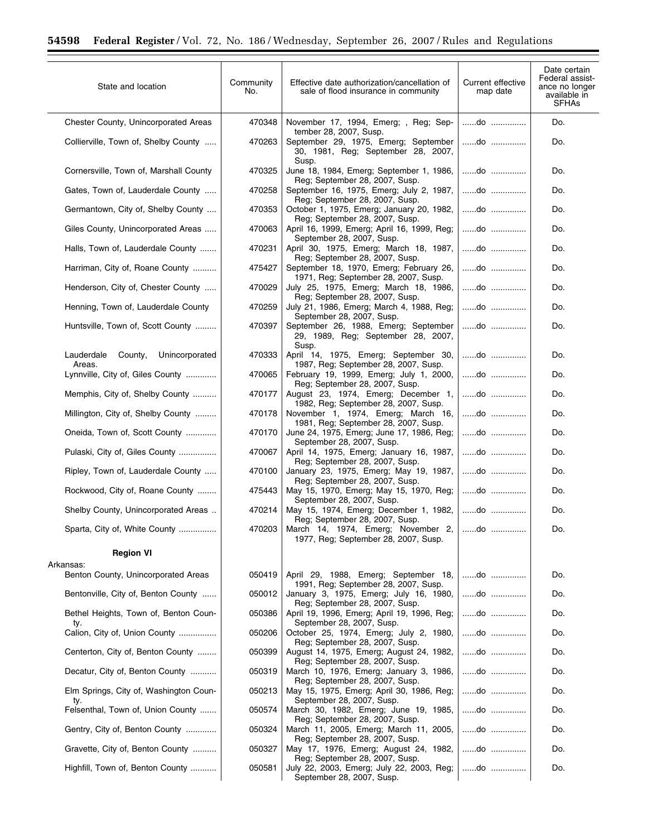| State and location                                | Community<br>No. | Effective date authorization/cancellation of<br>sale of flood insurance in community                           | Current effective<br>map date | Date certain<br>Federal assist-<br>ance no longer<br>available in<br><b>SFHAs</b> |
|---------------------------------------------------|------------------|----------------------------------------------------------------------------------------------------------------|-------------------------------|-----------------------------------------------------------------------------------|
| Chester County, Unincorporated Areas              | 470348           | November 17, 1994, Emerg; , Reg; Sep-                                                                          | do                            | Do.                                                                               |
| Collierville, Town of, Shelby County              | 470263           | tember 28, 2007, Susp.<br>September 29, 1975, Emerg; September<br>30, 1981, Reg; September 28, 2007,<br>Susp.  | do                            | Do.                                                                               |
| Cornersville, Town of, Marshall County            | 470325           | June 18, 1984, Emerg; September 1, 1986,<br>Reg; September 28, 2007, Susp.                                     | do                            | Do.                                                                               |
| Gates, Town of, Lauderdale County                 | 470258           | September 16, 1975, Emerg; July 2, 1987,<br>Reg: September 28, 2007, Susp.                                     | do                            | Do.                                                                               |
| Germantown, City of, Shelby County                | 470353           | October 1, 1975, Emerg; January 20, 1982,<br>Reg; September 28, 2007, Susp.                                    | do                            | Do.                                                                               |
| Giles County, Unincorporated Areas                | 470063           | April 16, 1999, Emerg; April 16, 1999, Reg;<br>September 28, 2007, Susp.                                       | do                            | Do.                                                                               |
| Halls, Town of, Lauderdale County                 | 470231           | April 30, 1975, Emerg; March 18, 1987,<br>Reg; September 28, 2007, Susp.                                       | do                            | Do.                                                                               |
| Harriman, City of, Roane County                   | 475427           | September 18, 1970, Emerg; February 26,<br>1971, Reg; September 28, 2007, Susp.                                | do                            | Do.                                                                               |
| Henderson, City of, Chester County                | 470029           | July 25, 1975, Emerg; March 18, 1986,<br>Reg; September 28, 2007, Susp.                                        | do                            | Do.                                                                               |
| Henning, Town of, Lauderdale County               | 470259           | July 21, 1986, Emerg; March 4, 1988, Reg;   do<br>September 28, 2007, Susp.                                    |                               | Do.                                                                               |
| Huntsville, Town of, Scott County                 | 470397           | September 26, 1988, Emerg; September   do<br>29, 1989, Reg; September 28, 2007,<br>Susp.                       |                               | Do.                                                                               |
| Unincorporated<br>Lauderdale<br>County,<br>Areas. | 470333           | April 14, 1975, Emerg; September 30,<br>1987, Reg; September 28, 2007, Susp.                                   | do                            | Do.                                                                               |
| Lynnville, City of, Giles County                  | 470065           | February 19, 1999, Emerg; July 1, 2000,<br>Reg; September 28, 2007, Susp.                                      | do                            | Do.                                                                               |
| Memphis, City of, Shelby County                   | 470177           | August 23, 1974, Emerg; December 1,<br>1982, Reg; September 28, 2007, Susp.                                    | do                            | Do.                                                                               |
| Millington, City of, Shelby County                | 470178           | November 1, 1974, Emerg; March 16,                                                                             | do                            | Do.                                                                               |
| Oneida, Town of, Scott County                     | 470170           | 1981, Reg; September 28, 2007, Susp.<br>June 24, 1975, Emerg; June 17, 1986, Reg;<br>September 28, 2007, Susp. | do                            | Do.                                                                               |
| Pulaski, City of, Giles County                    | 470067           | April 14, 1975, Emerg; January 16, 1987,<br>Reg; September 28, 2007, Susp.                                     | $do$                          | Do.                                                                               |
| Ripley, Town of, Lauderdale County                | 470100           | January 23, 1975, Emerg; May 19, 1987,<br>Reg: September 28, 2007, Susp.                                       | do                            | Do.                                                                               |
| Rockwood, City of, Roane County                   | 475443           | May 15, 1970, Emerg; May 15, 1970, Reg;   do<br>September 28, 2007, Susp.                                      |                               | Do.                                                                               |
| Shelby County, Unincorporated Areas               | 470214           | May 15, 1974, Emerg; December 1, 1982,   do<br>Reg; September 28, 2007, Susp.                                  |                               | Do.                                                                               |
| Sparta, City of, White County                     | 470203           | March 14, 1974, Emerg; November 2, do<br>1977, Reg; September 28, 2007, Susp.                                  |                               | Do.                                                                               |
| <b>Region VI</b>                                  |                  |                                                                                                                |                               |                                                                                   |
| Arkansas:<br>Benton County, Unincorporated Areas  | 050419           | April 29, 1988, Emerg; September 18,<br>1991, Reg; September 28, 2007, Susp.                                   | do                            | Do.                                                                               |
| Bentonville, City of, Benton County               | 050012           | January 3, 1975, Emerg; July 16, 1980,                                                                         | do                            | Do.                                                                               |
| Bethel Heights, Town of, Benton Coun-<br>ty.      | 050386           | Reg; September 28, 2007, Susp.<br>April 19, 1996, Emerg; April 19, 1996, Reg;<br>September 28, 2007, Susp.     | do                            | Do.                                                                               |
| Calion, City of, Union County                     | 050206           | October 25, 1974, Emerg; July 2, 1980,<br>Reg; September 28, 2007, Susp.                                       | do                            | Do.                                                                               |
| Centerton, City of, Benton County                 | 050399           | August 14, 1975, Emerg; August 24, 1982,<br>Reg; September 28, 2007, Susp.                                     | do                            | Do.                                                                               |
| Decatur, City of, Benton County                   | 050319           | March 10, 1976, Emerg; January 3, 1986,                                                                        | do                            | Do.                                                                               |
| Elm Springs, City of, Washington Coun-<br>ty.     | 050213           | Reg; September 28, 2007, Susp.<br>May 15, 1975, Emerg; April 30, 1986, Reg;<br>September 28, 2007, Susp.       | do                            | Do.                                                                               |
| Felsenthal, Town of, Union County                 | 050574           | March 30, 1982, Emerg; June 19, 1985,<br>Reg; September 28, 2007, Susp.                                        | do                            | Do.                                                                               |
| Gentry, City of, Benton County                    | 050324           | March 11, 2005, Emerg; March 11, 2005,<br>Reg; September 28, 2007, Susp.                                       | do                            | Do.                                                                               |
| Gravette, City of, Benton County                  | 050327           | May 17, 1976, Emerg; August 24, 1982,<br>Reg; September 28, 2007, Susp.                                        | do                            | Do.                                                                               |
| Highfill, Town of, Benton County                  | 050581           | July 22, 2003, Emerg; July 22, 2003, Reg;<br>September 28, 2007, Susp.                                         | do                            | Do.                                                                               |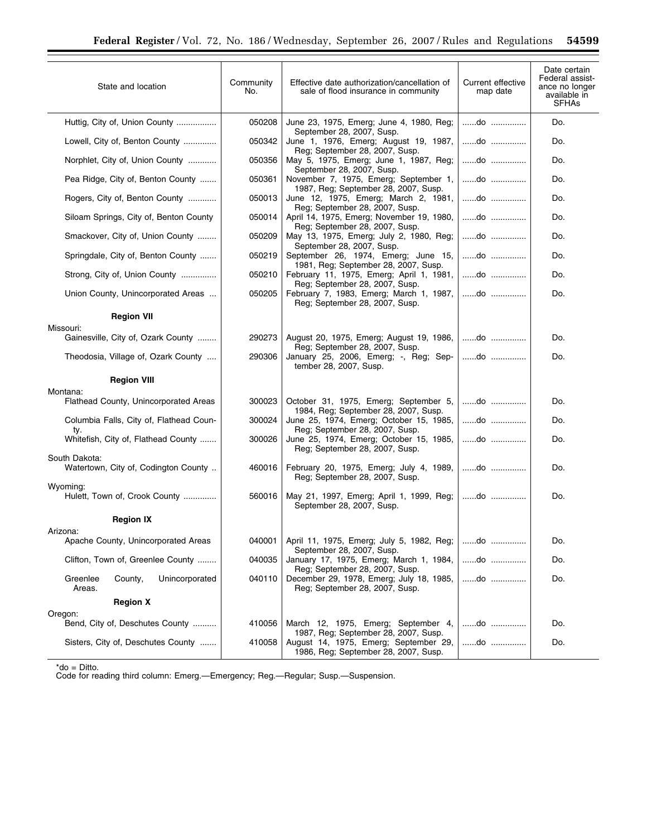| State and location                                    | Community<br>No. | Effective date authorization/cancellation of<br>sale of flood insurance in community                                  | Current effective<br>map date | Date certain<br>Federal assist-<br>ance no longer<br>available in<br><b>SFHAs</b> |
|-------------------------------------------------------|------------------|-----------------------------------------------------------------------------------------------------------------------|-------------------------------|-----------------------------------------------------------------------------------|
| Huttig, City of, Union County                         | 050208           | June 23, 1975, Emerg; June 4, 1980, Reg;<br>September 28, 2007, Susp.                                                 | do                            | Do.                                                                               |
| Lowell, City of, Benton County                        | 050342           | June 1, 1976, Emerg; August 19, 1987,<br>Reg; September 28, 2007, Susp.                                               | do                            | Do.                                                                               |
| Norphlet, City of, Union County                       | 050356           | May 5, 1975, Emerg; June 1, 1987, Reg;<br>September 28, 2007, Susp.                                                   | do                            | Do.                                                                               |
| Pea Ridge, City of, Benton County                     | 050361           | November 7, 1975, Emerg; September 1,<br>1987, Reg; September 28, 2007, Susp.                                         | do                            | Do.                                                                               |
| Rogers, City of, Benton County                        | 050013           | June 12, 1975, Emerg; March 2, 1981,<br>Reg; September 28, 2007, Susp.                                                | do                            | Do.                                                                               |
| Siloam Springs, City of, Benton County                | 050014           | April 14, 1975, Emerg; November 19, 1980,<br>Reg; September 28, 2007, Susp.                                           | do                            | Do.                                                                               |
| Smackover, City of, Union County                      | 050209           | May 13, 1975, Emerg; July 2, 1980, Reg;<br>September 28, 2007, Susp.                                                  | do                            | Do.                                                                               |
| Springdale, City of, Benton County                    | 050219           | September 26, 1974, Emerg; June 15,<br>1981, Reg; September 28, 2007, Susp.                                           | do                            | Do.                                                                               |
| Strong, City of, Union County                         | 050210           | February 11, 1975, Emerg; April 1, 1981,<br>Reg; September 28, 2007, Susp.                                            | do                            | Do.                                                                               |
| Union County, Unincorporated Areas                    | 050205           | February 7, 1983, Emerg; March 1, 1987,<br>Reg; September 28, 2007, Susp.                                             | do                            | Do.                                                                               |
| <b>Region VII</b>                                     |                  |                                                                                                                       |                               |                                                                                   |
| Missouri:<br>Gainesville, City of, Ozark County       | 290273           | August 20, 1975, Emerg; August 19, 1986,                                                                              | do                            | Do.                                                                               |
| Theodosia, Village of, Ozark County                   | 290306           | Reg; September 28, 2007, Susp.<br>January 25, 2006, Emerg; -, Reg; Sep-<br>tember 28, 2007, Susp.                     | do                            | Do.                                                                               |
| <b>Region VIII</b>                                    |                  |                                                                                                                       |                               |                                                                                   |
| Montana:                                              |                  |                                                                                                                       | do                            |                                                                                   |
| Flathead County, Unincorporated Areas                 | 300023           | October 31, 1975, Emerg; September 5,<br>1984, Reg; September 28, 2007, Susp.                                         |                               | Do.                                                                               |
| Columbia Falls, City of, Flathead Coun-<br>ty.        | 300024           | June 25, 1974, Emerg; October 15, 1985,<br>Reg; September 28, 2007, Susp.                                             | do                            | Do.                                                                               |
| Whitefish, City of, Flathead County                   | 300026           | June 25, 1974, Emerg; October 15, 1985,<br>Reg; September 28, 2007, Susp.                                             | do                            | Do.                                                                               |
| South Dakota:<br>Watertown, City of, Codington County | 460016           | February 20, 1975, Emerg; July 4, 1989,<br>Reg: September 28, 2007, Susp.                                             | do                            | Do.                                                                               |
| Wyoming:<br>Hulett, Town of, Crook County             | 560016           | May 21, 1997, Emerg; April 1, 1999, Reg;<br>September 28, 2007, Susp.                                                 | do                            | Do.                                                                               |
| <b>Region IX</b>                                      |                  |                                                                                                                       |                               |                                                                                   |
| Arizona:<br>Apache County, Unincorporated Areas       | 040001           | April 11, 1975, Emerg; July 5, 1982, Reg;                                                                             | do                            | Do.                                                                               |
| Clifton, Town of, Greenlee County                     | 040035           | September 28, 2007, Susp.<br>January 17, 1975, Emerg; March 1, 1984,                                                  | do                            | Do.                                                                               |
| Greenlee<br>County,<br>Unincorporated<br>Areas.       | 040110           | Reg; September 28, 2007, Susp.<br>December 29, 1978, Emerg; July 18, 1985,<br>Reg: September 28, 2007, Susp.          | do                            | Do.                                                                               |
| <b>Region X</b>                                       |                  |                                                                                                                       |                               |                                                                                   |
| Oregon:<br>Bend, City of, Deschutes County            | 410056           | March 12, 1975, Emerg; September 4,                                                                                   | do                            | Do.                                                                               |
| Sisters, City of, Deschutes County                    | 410058           | 1987, Reg; September 28, 2007, Susp.<br>August 14, 1975, Emerg; September 29,<br>1986, Reg; September 28, 2007, Susp. | do                            | Do.                                                                               |

\*do = Ditto.

Code for reading third column: Emerg.—Emergency; Reg.—Regular; Susp.—Suspension.